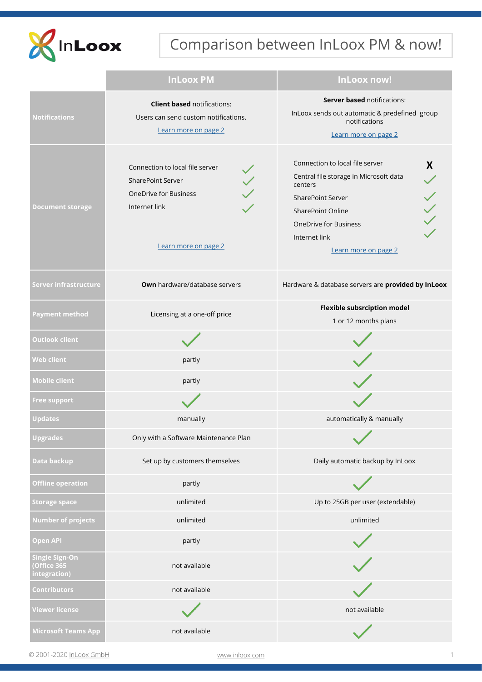

# Comparison between InLoox PM & now!

|                                                     | <b>InLoox PM</b>                                                                                                                     | InLoox now!                                                                                                                                                                                                                |
|-----------------------------------------------------|--------------------------------------------------------------------------------------------------------------------------------------|----------------------------------------------------------------------------------------------------------------------------------------------------------------------------------------------------------------------------|
| <b>Notifications</b>                                | <b>Client based notifications:</b><br>Users can send custom notifications.<br>Learn more on page 2                                   | <b>Server based notifications:</b><br>InLoox sends out automatic & predefined group<br>notifications<br>Learn more on page 2                                                                                               |
| <b>Document storage</b>                             | Connection to local file server<br><b>SharePoint Server</b><br><b>OneDrive for Business</b><br>Internet link<br>Learn more on page 2 | Connection to local file server<br>X<br>Central file storage in Microsoft data<br>centers<br><b>SharePoint Server</b><br><b>SharePoint Online</b><br><b>OneDrive for Business</b><br>Internet link<br>Learn more on page 2 |
| Server infrastructure                               | <b>Own</b> hardware/database servers                                                                                                 | Hardware & database servers are provided by InLoox                                                                                                                                                                         |
| <b>Payment method</b>                               | Licensing at a one-off price                                                                                                         | <b>Flexible subsrciption model</b><br>1 or 12 months plans                                                                                                                                                                 |
| <b>Outlook client</b>                               |                                                                                                                                      |                                                                                                                                                                                                                            |
| <b>Web client</b>                                   | partly                                                                                                                               |                                                                                                                                                                                                                            |
| <b>Mobile client</b>                                | partly                                                                                                                               |                                                                                                                                                                                                                            |
| <b>Free support</b>                                 |                                                                                                                                      |                                                                                                                                                                                                                            |
| <b>Updates</b>                                      | manually                                                                                                                             | automatically & manually                                                                                                                                                                                                   |
| Upgrades                                            | Only with a Software Maintenance Plan                                                                                                | $\mathcal{L}$                                                                                                                                                                                                              |
| Data backup                                         | Set up by customers themselves                                                                                                       | Daily automatic backup by InLoox                                                                                                                                                                                           |
| <b>Offline operation</b>                            | partly                                                                                                                               |                                                                                                                                                                                                                            |
| <b>Storage space</b>                                | unlimited                                                                                                                            | Up to 25GB per user (extendable)                                                                                                                                                                                           |
| <b>Number of projects</b>                           | unlimited                                                                                                                            | unlimited                                                                                                                                                                                                                  |
| <b>Open API</b>                                     | partly                                                                                                                               |                                                                                                                                                                                                                            |
| <b>Single Sign-On</b><br>Office 365<br>integration) | not available                                                                                                                        |                                                                                                                                                                                                                            |
| <b>Contributors</b>                                 | not available                                                                                                                        |                                                                                                                                                                                                                            |
| <b>Viewer license</b>                               |                                                                                                                                      | not available                                                                                                                                                                                                              |
| <b>Microsoft Teams App</b>                          | not available                                                                                                                        |                                                                                                                                                                                                                            |